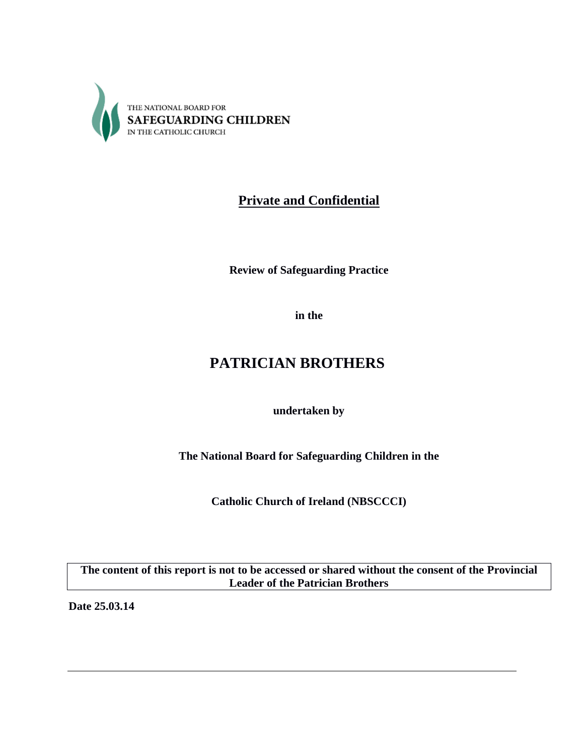

# **Private and Confidential**

**Review of Safeguarding Practice**

**in the** 

# **PATRICIAN BROTHERS**

**undertaken by**

**The National Board for Safeguarding Children in the**

**Catholic Church of Ireland (NBSCCCI)**

**The content of this report is not to be accessed or shared without the consent of the Provincial Leader of the Patrician Brothers**

**Date 25.03.14**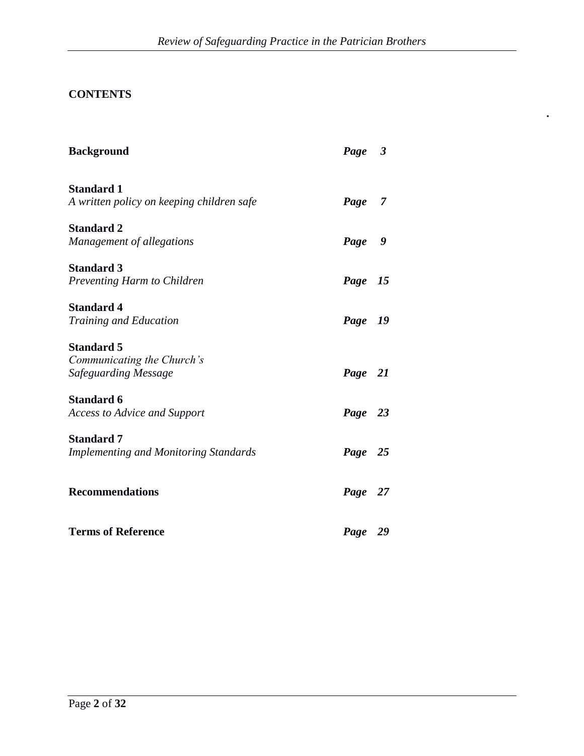**.**

# **CONTENTS**

| <b>Background</b>                                                       | Page 3  |  |
|-------------------------------------------------------------------------|---------|--|
| <b>Standard 1</b><br>A written policy on keeping children safe          | Page 7  |  |
| <b>Standard 2</b><br>Management of allegations                          | Page 9  |  |
| <b>Standard 3</b><br>Preventing Harm to Children                        | Page 15 |  |
| <b>Standard 4</b><br>Training and Education                             | Page 19 |  |
| <b>Standard 5</b><br>Communicating the Church's<br>Safeguarding Message | Page 21 |  |
| <b>Standard 6</b><br><b>Access to Advice and Support</b>                | Page 23 |  |
| <b>Standard 7</b><br><b>Implementing and Monitoring Standards</b>       | Page 25 |  |
| <b>Recommendations</b>                                                  | Page 27 |  |
| <b>Terms of Reference</b>                                               | Page 29 |  |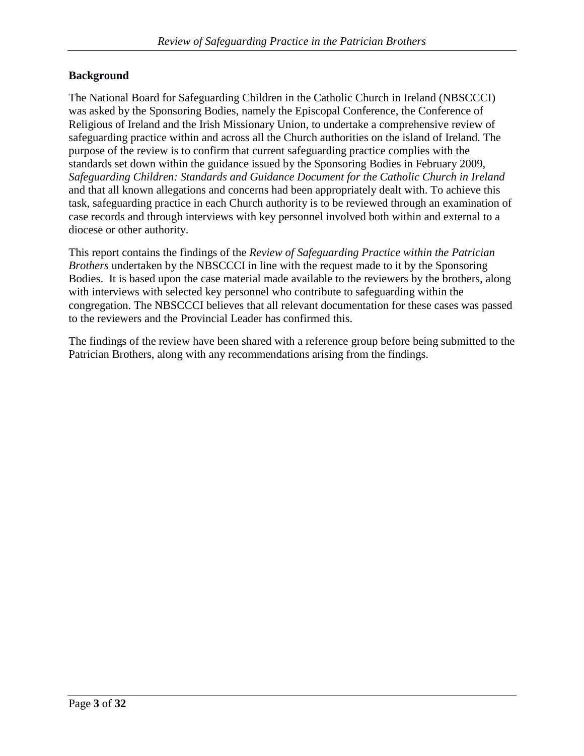### **Background**

The National Board for Safeguarding Children in the Catholic Church in Ireland (NBSCCCI) was asked by the Sponsoring Bodies, namely the Episcopal Conference, the Conference of Religious of Ireland and the Irish Missionary Union, to undertake a comprehensive review of safeguarding practice within and across all the Church authorities on the island of Ireland. The purpose of the review is to confirm that current safeguarding practice complies with the standards set down within the guidance issued by the Sponsoring Bodies in February 2009, *Safeguarding Children: Standards and Guidance Document for the Catholic Church in Ireland* and that all known allegations and concerns had been appropriately dealt with. To achieve this task, safeguarding practice in each Church authority is to be reviewed through an examination of case records and through interviews with key personnel involved both within and external to a diocese or other authority.

This report contains the findings of the *Review of Safeguarding Practice within the Patrician Brothers* undertaken by the NBSCCCI in line with the request made to it by the Sponsoring Bodies. It is based upon the case material made available to the reviewers by the brothers, along with interviews with selected key personnel who contribute to safeguarding within the congregation. The NBSCCCI believes that all relevant documentation for these cases was passed to the reviewers and the Provincial Leader has confirmed this.

The findings of the review have been shared with a reference group before being submitted to the Patrician Brothers, along with any recommendations arising from the findings.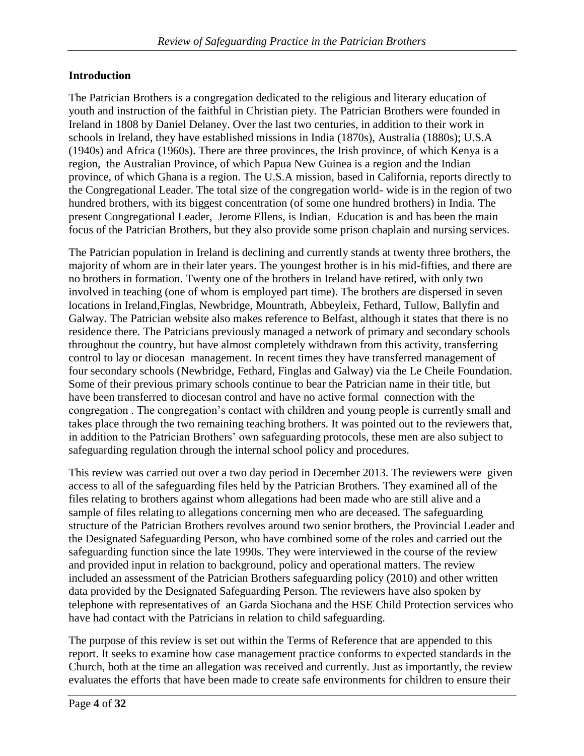### **Introduction**

The Patrician Brothers is a congregation dedicated to the religious and literary education of youth and instruction of the faithful in Christian piety. The Patrician Brothers were founded in Ireland in 1808 by Daniel Delaney. Over the last two centuries, in addition to their work in schools in Ireland, they have established missions in India (1870s), Australia (1880s); U.S.A (1940s) and Africa (1960s). There are three provinces, the Irish province, of which Kenya is a region, the Australian Province, of which Papua New Guinea is a region and the Indian province, of which Ghana is a region. The U.S.A mission, based in California, reports directly to the Congregational Leader. The total size of the congregation world- wide is in the region of two hundred brothers, with its biggest concentration (of some one hundred brothers) in India. The present Congregational Leader, Jerome Ellens, is Indian. Education is and has been the main focus of the Patrician Brothers, but they also provide some prison chaplain and nursing services.

The Patrician population in Ireland is declining and currently stands at twenty three brothers, the majority of whom are in their later years. The youngest brother is in his mid-fifties, and there are no brothers in formation. Twenty one of the brothers in Ireland have retired, with only two involved in teaching (one of whom is employed part time). The brothers are dispersed in seven locations in Ireland,Finglas, Newbridge, Mountrath, Abbeyleix, Fethard, Tullow, Ballyfin and Galway. The Patrician website also makes reference to Belfast, although it states that there is no residence there. The Patricians previously managed a network of primary and secondary schools throughout the country, but have almost completely withdrawn from this activity, transferring control to lay or diocesan management. In recent times they have transferred management of four secondary schools (Newbridge, Fethard, Finglas and Galway) via the Le Cheile Foundation. Some of their previous primary schools continue to bear the Patrician name in their title, but have been transferred to diocesan control and have no active formal connection with the congregation . The congregation's contact with children and young people is currently small and takes place through the two remaining teaching brothers. It was pointed out to the reviewers that, in addition to the Patrician Brothers' own safeguarding protocols, these men are also subject to safeguarding regulation through the internal school policy and procedures.

This review was carried out over a two day period in December 2013. The reviewers were given access to all of the safeguarding files held by the Patrician Brothers. They examined all of the files relating to brothers against whom allegations had been made who are still alive and a sample of files relating to allegations concerning men who are deceased. The safeguarding structure of the Patrician Brothers revolves around two senior brothers, the Provincial Leader and the Designated Safeguarding Person, who have combined some of the roles and carried out the safeguarding function since the late 1990s. They were interviewed in the course of the review and provided input in relation to background, policy and operational matters. The review included an assessment of the Patrician Brothers safeguarding policy (2010) and other written data provided by the Designated Safeguarding Person. The reviewers have also spoken by telephone with representatives of an Garda Siochana and the HSE Child Protection services who have had contact with the Patricians in relation to child safeguarding.

The purpose of this review is set out within the Terms of Reference that are appended to this report. It seeks to examine how case management practice conforms to expected standards in the Church, both at the time an allegation was received and currently. Just as importantly, the review evaluates the efforts that have been made to create safe environments for children to ensure their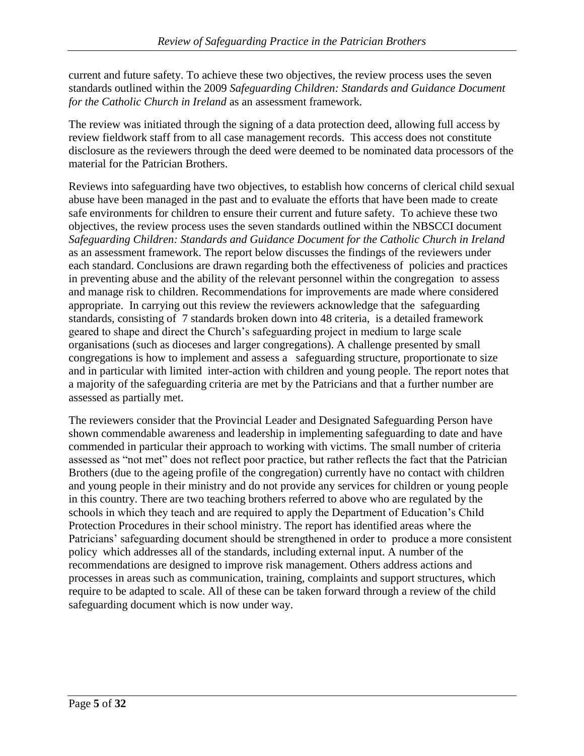current and future safety. To achieve these two objectives, the review process uses the seven standards outlined within the 2009 *Safeguarding Children: Standards and Guidance Document for the Catholic Church in Ireland* as an assessment framework.

The review was initiated through the signing of a data protection deed, allowing full access by review fieldwork staff from to all case management records. This access does not constitute disclosure as the reviewers through the deed were deemed to be nominated data processors of the material for the Patrician Brothers.

Reviews into safeguarding have two objectives, to establish how concerns of clerical child sexual abuse have been managed in the past and to evaluate the efforts that have been made to create safe environments for children to ensure their current and future safety. To achieve these two objectives, the review process uses the seven standards outlined within the NBSCCI document *Safeguarding Children: Standards and Guidance Document for the Catholic Church in Ireland* as an assessment framework. The report below discusses the findings of the reviewers under each standard. Conclusions are drawn regarding both the effectiveness of policies and practices in preventing abuse and the ability of the relevant personnel within the congregation to assess and manage risk to children. Recommendations for improvements are made where considered appropriate. In carrying out this review the reviewers acknowledge that the safeguarding standards, consisting of 7 standards broken down into 48 criteria, is a detailed framework geared to shape and direct the Church's safeguarding project in medium to large scale organisations (such as dioceses and larger congregations). A challenge presented by small congregations is how to implement and assess a safeguarding structure, proportionate to size and in particular with limited inter-action with children and young people. The report notes that a majority of the safeguarding criteria are met by the Patricians and that a further number are assessed as partially met.

The reviewers consider that the Provincial Leader and Designated Safeguarding Person have shown commendable awareness and leadership in implementing safeguarding to date and have commended in particular their approach to working with victims. The small number of criteria assessed as "not met" does not reflect poor practice, but rather reflects the fact that the Patrician Brothers (due to the ageing profile of the congregation) currently have no contact with children and young people in their ministry and do not provide any services for children or young people in this country. There are two teaching brothers referred to above who are regulated by the schools in which they teach and are required to apply the Department of Education's Child Protection Procedures in their school ministry. The report has identified areas where the Patricians' safeguarding document should be strengthened in order to produce a more consistent policy which addresses all of the standards, including external input. A number of the recommendations are designed to improve risk management. Others address actions and processes in areas such as communication, training, complaints and support structures, which require to be adapted to scale. All of these can be taken forward through a review of the child safeguarding document which is now under way.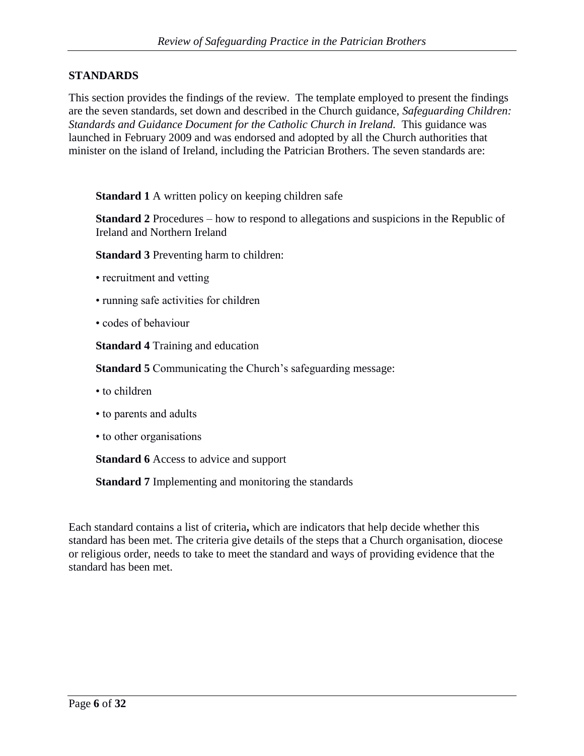### **STANDARDS**

This section provides the findings of the review. The template employed to present the findings are the seven standards, set down and described in the Church guidance, *Safeguarding Children: Standards and Guidance Document for the Catholic Church in Ireland.* This guidance was launched in February 2009 and was endorsed and adopted by all the Church authorities that minister on the island of Ireland, including the Patrician Brothers. The seven standards are:

**Standard 1** A written policy on keeping children safe

**Standard 2** Procedures – how to respond to allegations and suspicions in the Republic of Ireland and Northern Ireland

**Standard 3** Preventing harm to children:

- recruitment and vetting
- running safe activities for children
- codes of behaviour

**Standard 4** Training and education

**Standard 5** Communicating the Church's safeguarding message:

- to children
- to parents and adults
- to other organisations

**Standard 6** Access to advice and support

**Standard 7** Implementing and monitoring the standards

Each standard contains a list of criteria**,** which are indicators that help decide whether this standard has been met. The criteria give details of the steps that a Church organisation, diocese or religious order, needs to take to meet the standard and ways of providing evidence that the standard has been met.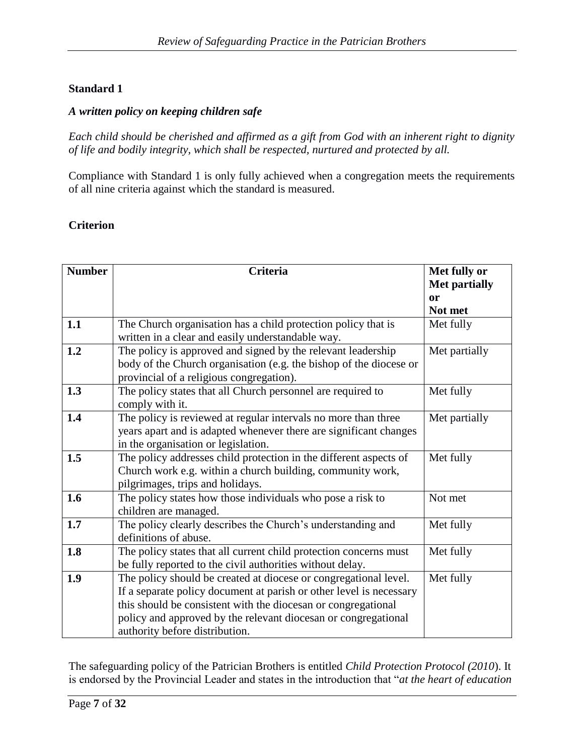#### *A written policy on keeping children safe*

*Each child should be cherished and affirmed as a gift from God with an inherent right to dignity of life and bodily integrity, which shall be respected, nurtured and protected by all.*

Compliance with Standard 1 is only fully achieved when a congregation meets the requirements of all nine criteria against which the standard is measured.

#### **Criterion**

| <b>Number</b> | <b>Criteria</b>                                                                                                                                                                                                                                                                                              | Met fully or<br><b>Met partially</b> |
|---------------|--------------------------------------------------------------------------------------------------------------------------------------------------------------------------------------------------------------------------------------------------------------------------------------------------------------|--------------------------------------|
|               |                                                                                                                                                                                                                                                                                                              | or<br>Not met                        |
| 1.1           | The Church organisation has a child protection policy that is<br>written in a clear and easily understandable way.                                                                                                                                                                                           | Met fully                            |
| 1.2           | The policy is approved and signed by the relevant leadership<br>body of the Church organisation (e.g. the bishop of the diocese or<br>provincial of a religious congregation).                                                                                                                               | Met partially                        |
| 1.3           | The policy states that all Church personnel are required to<br>comply with it.                                                                                                                                                                                                                               | Met fully                            |
| 1.4           | The policy is reviewed at regular intervals no more than three<br>years apart and is adapted whenever there are significant changes<br>in the organisation or legislation.                                                                                                                                   | Met partially                        |
| 1.5           | The policy addresses child protection in the different aspects of<br>Church work e.g. within a church building, community work,<br>pilgrimages, trips and holidays.                                                                                                                                          | Met fully                            |
| 1.6           | The policy states how those individuals who pose a risk to<br>children are managed.                                                                                                                                                                                                                          | Not met                              |
| 1.7           | The policy clearly describes the Church's understanding and<br>definitions of abuse.                                                                                                                                                                                                                         | Met fully                            |
| 1.8           | The policy states that all current child protection concerns must<br>be fully reported to the civil authorities without delay.                                                                                                                                                                               | Met fully                            |
| 1.9           | The policy should be created at diocese or congregational level.<br>If a separate policy document at parish or other level is necessary<br>this should be consistent with the diocesan or congregational<br>policy and approved by the relevant diocesan or congregational<br>authority before distribution. | Met fully                            |

The safeguarding policy of the Patrician Brothers is entitled *Child Protection Protocol (2010*). It is endorsed by the Provincial Leader and states in the introduction that "*at the heart of education*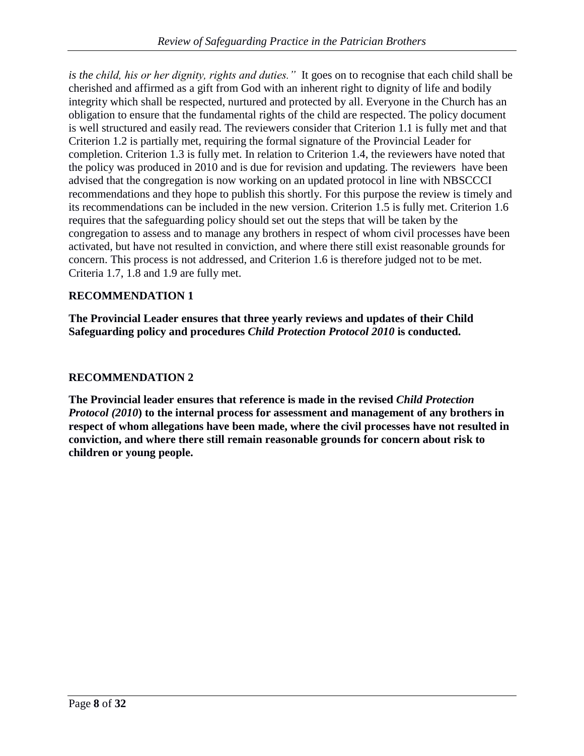*is the child, his or her dignity, rights and duties."* It goes on to recognise that each child shall be cherished and affirmed as a gift from God with an inherent right to dignity of life and bodily integrity which shall be respected, nurtured and protected by all. Everyone in the Church has an obligation to ensure that the fundamental rights of the child are respected. The policy document is well structured and easily read. The reviewers consider that Criterion 1.1 is fully met and that Criterion 1.2 is partially met, requiring the formal signature of the Provincial Leader for completion. Criterion 1.3 is fully met. In relation to Criterion 1.4, the reviewers have noted that the policy was produced in 2010 and is due for revision and updating. The reviewers have been advised that the congregation is now working on an updated protocol in line with NBSCCCI recommendations and they hope to publish this shortly. For this purpose the review is timely and its recommendations can be included in the new version. Criterion 1.5 is fully met. Criterion 1.6 requires that the safeguarding policy should set out the steps that will be taken by the congregation to assess and to manage any brothers in respect of whom civil processes have been activated, but have not resulted in conviction, and where there still exist reasonable grounds for concern. This process is not addressed, and Criterion 1.6 is therefore judged not to be met. Criteria 1.7, 1.8 and 1.9 are fully met.

### **RECOMMENDATION 1**

**The Provincial Leader ensures that three yearly reviews and updates of their Child Safeguarding policy and procedures** *Child Protection Protocol 2010* **is conducted.**

### **RECOMMENDATION 2**

**The Provincial leader ensures that reference is made in the revised** *Child Protection Protocol (2010***) to the internal process for assessment and management of any brothers in respect of whom allegations have been made, where the civil processes have not resulted in conviction, and where there still remain reasonable grounds for concern about risk to children or young people.**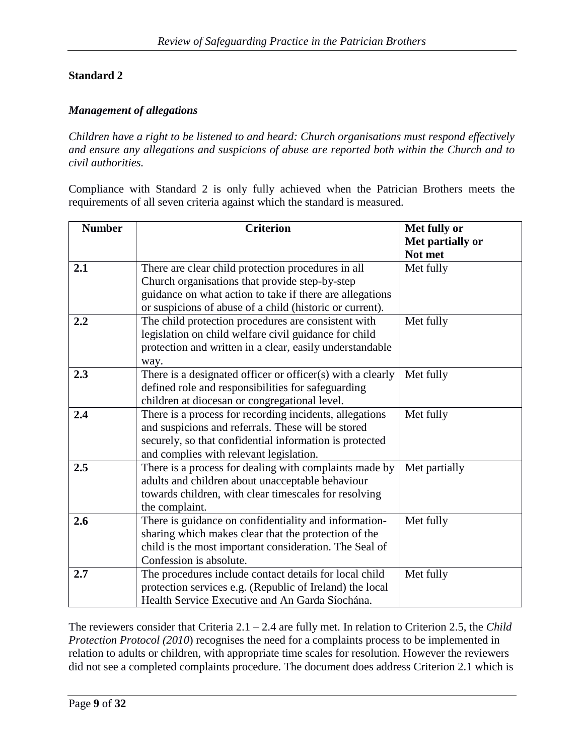#### *Management of allegations*

*Children have a right to be listened to and heard: Church organisations must respond effectively and ensure any allegations and suspicions of abuse are reported both within the Church and to civil authorities.*

Compliance with Standard 2 is only fully achieved when the Patrician Brothers meets the requirements of all seven criteria against which the standard is measured.

| <b>Number</b> | <b>Criterion</b>                                           | Met fully or     |
|---------------|------------------------------------------------------------|------------------|
|               |                                                            | Met partially or |
|               |                                                            | Not met          |
| 2.1           | There are clear child protection procedures in all         | Met fully        |
|               | Church organisations that provide step-by-step             |                  |
|               | guidance on what action to take if there are allegations   |                  |
|               | or suspicions of abuse of a child (historic or current).   |                  |
| 2.2           | The child protection procedures are consistent with        | Met fully        |
|               | legislation on child welfare civil guidance for child      |                  |
|               | protection and written in a clear, easily understandable   |                  |
|               | way.                                                       |                  |
| 2.3           | There is a designated officer or officer(s) with a clearly | Met fully        |
|               | defined role and responsibilities for safeguarding         |                  |
|               | children at diocesan or congregational level.              |                  |
| 2.4           | There is a process for recording incidents, allegations    | Met fully        |
|               | and suspicions and referrals. These will be stored         |                  |
|               | securely, so that confidential information is protected    |                  |
|               | and complies with relevant legislation.                    |                  |
| 2.5           | There is a process for dealing with complaints made by     | Met partially    |
|               | adults and children about unacceptable behaviour           |                  |
|               | towards children, with clear timescales for resolving      |                  |
|               | the complaint.                                             |                  |
| 2.6           | There is guidance on confidentiality and information-      | Met fully        |
|               | sharing which makes clear that the protection of the       |                  |
|               | child is the most important consideration. The Seal of     |                  |
|               | Confession is absolute.                                    |                  |
| 2.7           | The procedures include contact details for local child     | Met fully        |
|               | protection services e.g. (Republic of Ireland) the local   |                  |
|               | Health Service Executive and An Garda Síochána.            |                  |

The reviewers consider that Criteria 2.1 – 2.4 are fully met. In relation to Criterion 2.5, the *Child Protection Protocol (2010*) recognises the need for a complaints process to be implemented in relation to adults or children, with appropriate time scales for resolution. However the reviewers did not see a completed complaints procedure. The document does address Criterion 2.1 which is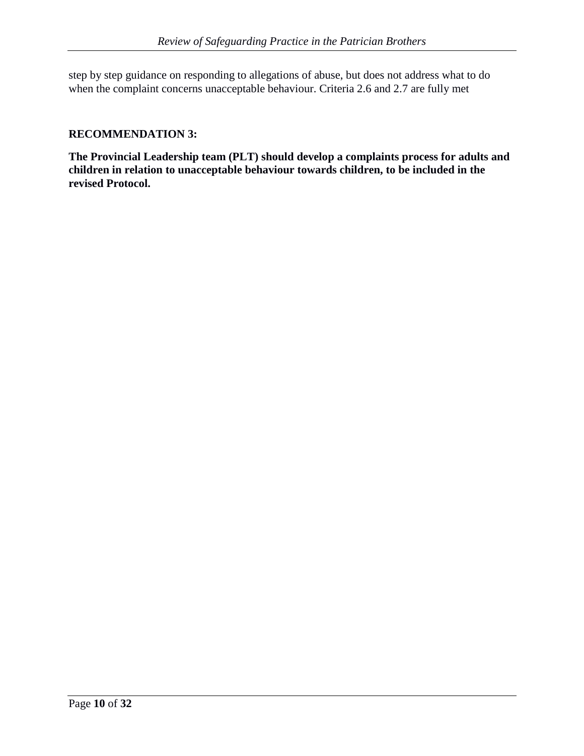step by step guidance on responding to allegations of abuse, but does not address what to do when the complaint concerns unacceptable behaviour. Criteria 2.6 and 2.7 are fully met

### **RECOMMENDATION 3:**

**The Provincial Leadership team (PLT) should develop a complaints process for adults and children in relation to unacceptable behaviour towards children, to be included in the revised Protocol.**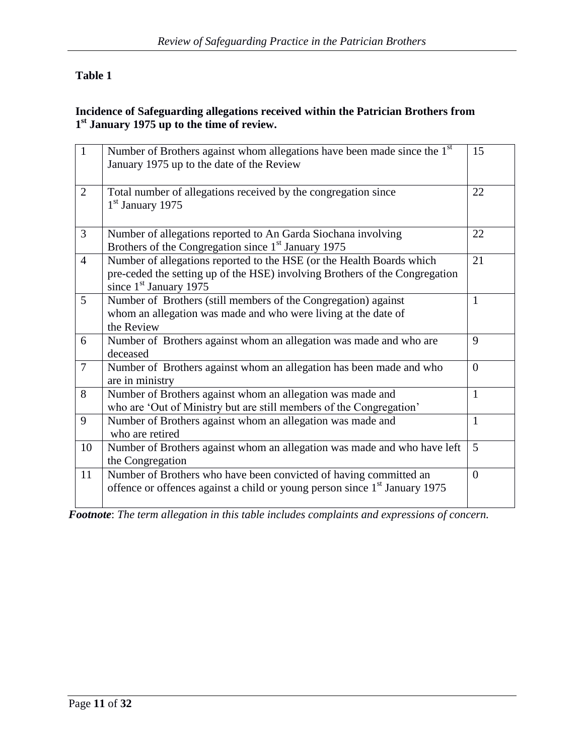## **Table 1**

#### **Incidence of Safeguarding allegations received within the Patrician Brothers from 1 st January 1975 up to the time of review.**

| $\overline{1}$ | Number of Brothers against whom allegations have been made since the 1 <sup>st</sup><br>January 1975 up to the date of the Review                                                | 15             |
|----------------|----------------------------------------------------------------------------------------------------------------------------------------------------------------------------------|----------------|
| $\overline{2}$ | Total number of allegations received by the congregation since<br>$1st$ January 1975                                                                                             | 22             |
| $\overline{3}$ | Number of allegations reported to An Garda Siochana involving<br>Brothers of the Congregation since $1st$ January 1975                                                           | 22             |
| $\overline{4}$ | Number of allegations reported to the HSE (or the Health Boards which<br>pre-ceded the setting up of the HSE) involving Brothers of the Congregation<br>since $1st$ January 1975 | 21             |
| 5              | Number of Brothers (still members of the Congregation) against<br>whom an allegation was made and who were living at the date of<br>the Review                                   | $\mathbf{1}$   |
| 6              | Number of Brothers against whom an allegation was made and who are<br>deceased                                                                                                   | 9              |
| $\overline{7}$ | Number of Brothers against whom an allegation has been made and who<br>are in ministry                                                                                           | $\theta$       |
| 8              | Number of Brothers against whom an allegation was made and<br>who are 'Out of Ministry but are still members of the Congregation'                                                | $\mathbf{1}$   |
| 9              | Number of Brothers against whom an allegation was made and<br>who are retired                                                                                                    | $\mathbf{1}$   |
| 10             | Number of Brothers against whom an allegation was made and who have left<br>the Congregation                                                                                     | 5              |
| 11             | Number of Brothers who have been convicted of having committed an<br>offence or offences against a child or young person since 1 <sup>st</sup> January 1975                      | $\overline{0}$ |

*Footnote*: *The term allegation in this table includes complaints and expressions of concern.*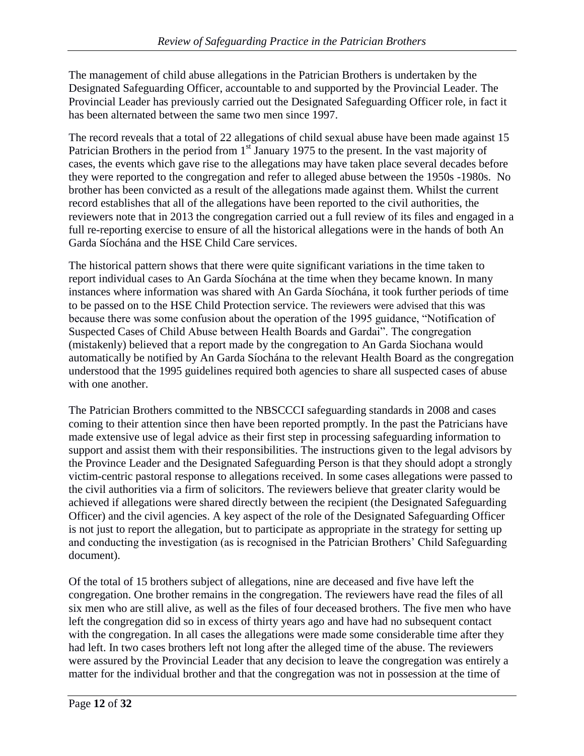The management of child abuse allegations in the Patrician Brothers is undertaken by the Designated Safeguarding Officer, accountable to and supported by the Provincial Leader. The Provincial Leader has previously carried out the Designated Safeguarding Officer role, in fact it has been alternated between the same two men since 1997.

The record reveals that a total of 22 allegations of child sexual abuse have been made against 15 Patrician Brothers in the period from 1<sup>st</sup> January 1975 to the present. In the vast majority of cases, the events which gave rise to the allegations may have taken place several decades before they were reported to the congregation and refer to alleged abuse between the 1950s -1980s. No brother has been convicted as a result of the allegations made against them. Whilst the current record establishes that all of the allegations have been reported to the civil authorities, the reviewers note that in 2013 the congregation carried out a full review of its files and engaged in a full re-reporting exercise to ensure of all the historical allegations were in the hands of both An Garda Síochána and the HSE Child Care services.

The historical pattern shows that there were quite significant variations in the time taken to report individual cases to An Garda Síochána at the time when they became known. In many instances where information was shared with An Garda Síochána, it took further periods of time to be passed on to the HSE Child Protection service. The reviewers were advised that this was because there was some confusion about the operation of the 1995 guidance, "Notification of Suspected Cases of Child Abuse between Health Boards and Gardai". The congregation (mistakenly) believed that a report made by the congregation to An Garda Siochana would automatically be notified by An Garda Síochána to the relevant Health Board as the congregation understood that the 1995 guidelines required both agencies to share all suspected cases of abuse with one another.

The Patrician Brothers committed to the NBSCCCI safeguarding standards in 2008 and cases coming to their attention since then have been reported promptly. In the past the Patricians have made extensive use of legal advice as their first step in processing safeguarding information to support and assist them with their responsibilities. The instructions given to the legal advisors by the Province Leader and the Designated Safeguarding Person is that they should adopt a strongly victim-centric pastoral response to allegations received. In some cases allegations were passed to the civil authorities via a firm of solicitors. The reviewers believe that greater clarity would be achieved if allegations were shared directly between the recipient (the Designated Safeguarding Officer) and the civil agencies. A key aspect of the role of the Designated Safeguarding Officer is not just to report the allegation, but to participate as appropriate in the strategy for setting up and conducting the investigation (as is recognised in the Patrician Brothers' Child Safeguarding document).

Of the total of 15 brothers subject of allegations, nine are deceased and five have left the congregation. One brother remains in the congregation. The reviewers have read the files of all six men who are still alive, as well as the files of four deceased brothers. The five men who have left the congregation did so in excess of thirty years ago and have had no subsequent contact with the congregation. In all cases the allegations were made some considerable time after they had left. In two cases brothers left not long after the alleged time of the abuse. The reviewers were assured by the Provincial Leader that any decision to leave the congregation was entirely a matter for the individual brother and that the congregation was not in possession at the time of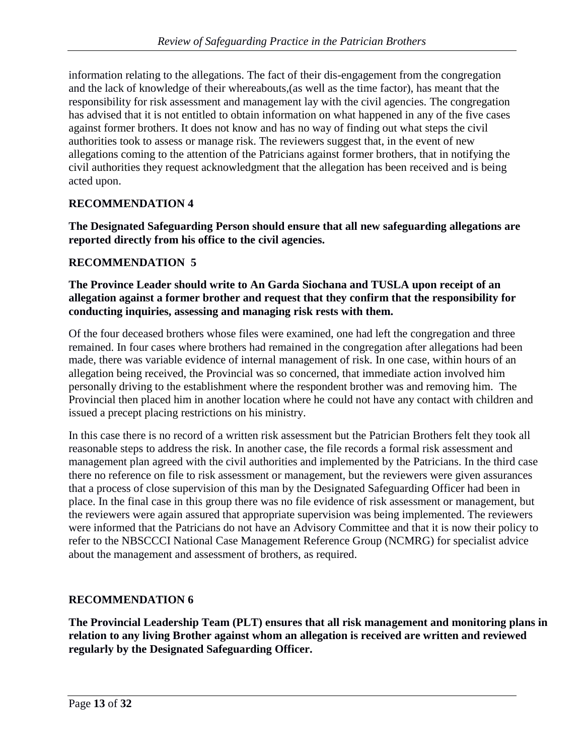information relating to the allegations. The fact of their dis-engagement from the congregation and the lack of knowledge of their whereabouts,(as well as the time factor), has meant that the responsibility for risk assessment and management lay with the civil agencies. The congregation has advised that it is not entitled to obtain information on what happened in any of the five cases against former brothers. It does not know and has no way of finding out what steps the civil authorities took to assess or manage risk. The reviewers suggest that, in the event of new allegations coming to the attention of the Patricians against former brothers, that in notifying the civil authorities they request acknowledgment that the allegation has been received and is being acted upon.

### **RECOMMENDATION 4**

**The Designated Safeguarding Person should ensure that all new safeguarding allegations are reported directly from his office to the civil agencies.**

### **RECOMMENDATION 5**

#### **The Province Leader should write to An Garda Siochana and TUSLA upon receipt of an allegation against a former brother and request that they confirm that the responsibility for conducting inquiries, assessing and managing risk rests with them.**

Of the four deceased brothers whose files were examined, one had left the congregation and three remained. In four cases where brothers had remained in the congregation after allegations had been made, there was variable evidence of internal management of risk. In one case, within hours of an allegation being received, the Provincial was so concerned, that immediate action involved him personally driving to the establishment where the respondent brother was and removing him. The Provincial then placed him in another location where he could not have any contact with children and issued a precept placing restrictions on his ministry.

In this case there is no record of a written risk assessment but the Patrician Brothers felt they took all reasonable steps to address the risk. In another case, the file records a formal risk assessment and management plan agreed with the civil authorities and implemented by the Patricians. In the third case there no reference on file to risk assessment or management, but the reviewers were given assurances that a process of close supervision of this man by the Designated Safeguarding Officer had been in place. In the final case in this group there was no file evidence of risk assessment or management, but the reviewers were again assured that appropriate supervision was being implemented. The reviewers were informed that the Patricians do not have an Advisory Committee and that it is now their policy to refer to the NBSCCCI National Case Management Reference Group (NCMRG) for specialist advice about the management and assessment of brothers, as required.

#### **RECOMMENDATION 6**

**The Provincial Leadership Team (PLT) ensures that all risk management and monitoring plans in relation to any living Brother against whom an allegation is received are written and reviewed regularly by the Designated Safeguarding Officer.**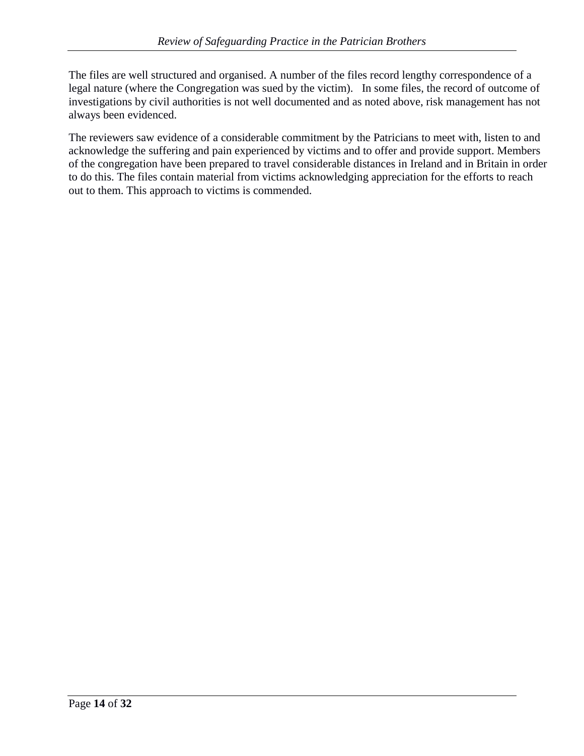The files are well structured and organised. A number of the files record lengthy correspondence of a legal nature (where the Congregation was sued by the victim). In some files, the record of outcome of investigations by civil authorities is not well documented and as noted above, risk management has not always been evidenced.

The reviewers saw evidence of a considerable commitment by the Patricians to meet with, listen to and acknowledge the suffering and pain experienced by victims and to offer and provide support. Members of the congregation have been prepared to travel considerable distances in Ireland and in Britain in order to do this. The files contain material from victims acknowledging appreciation for the efforts to reach out to them. This approach to victims is commended.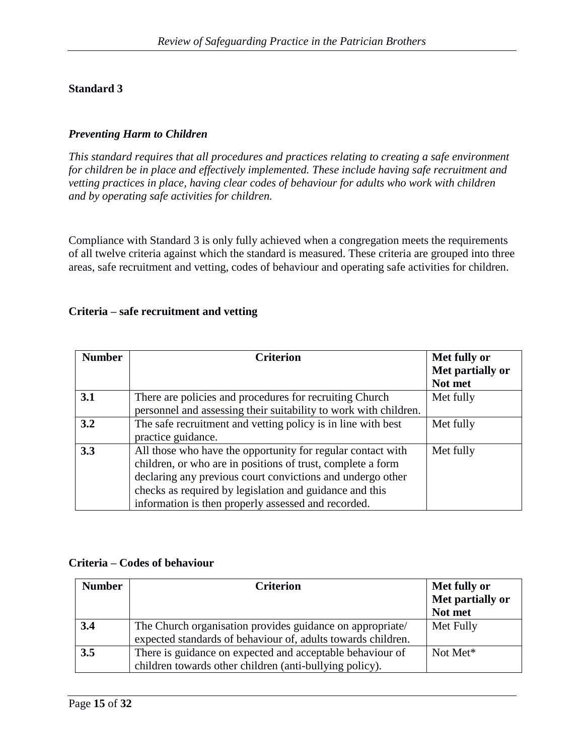### *Preventing Harm to Children*

*This standard requires that all procedures and practices relating to creating a safe environment for children be in place and effectively implemented. These include having safe recruitment and vetting practices in place, having clear codes of behaviour for adults who work with children and by operating safe activities for children.*

Compliance with Standard 3 is only fully achieved when a congregation meets the requirements of all twelve criteria against which the standard is measured. These criteria are grouped into three areas, safe recruitment and vetting, codes of behaviour and operating safe activities for children.

#### **Criteria – safe recruitment and vetting**

| <b>Number</b> | <b>Criterion</b>                                                 | Met fully or     |
|---------------|------------------------------------------------------------------|------------------|
|               |                                                                  | Met partially or |
|               |                                                                  | Not met          |
| 3.1           | There are policies and procedures for recruiting Church          | Met fully        |
|               | personnel and assessing their suitability to work with children. |                  |
| 3.2           | The safe recruitment and vetting policy is in line with best     | Met fully        |
|               | practice guidance.                                               |                  |
| 3.3           | All those who have the opportunity for regular contact with      | Met fully        |
|               | children, or who are in positions of trust, complete a form      |                  |
|               | declaring any previous court convictions and undergo other       |                  |
|               | checks as required by legislation and guidance and this          |                  |
|               | information is then properly assessed and recorded.              |                  |

#### **Criteria – Codes of behaviour**

| <b>Number</b> | <b>Criterion</b>                                             | Met fully or<br>Met partially or |
|---------------|--------------------------------------------------------------|----------------------------------|
|               |                                                              | Not met                          |
| 3.4           | The Church organisation provides guidance on appropriate/    | Met Fully                        |
|               | expected standards of behaviour of, adults towards children. |                                  |
| 3.5           | There is guidance on expected and acceptable behaviour of    | Not Met*                         |
|               | children towards other children (anti-bullying policy).      |                                  |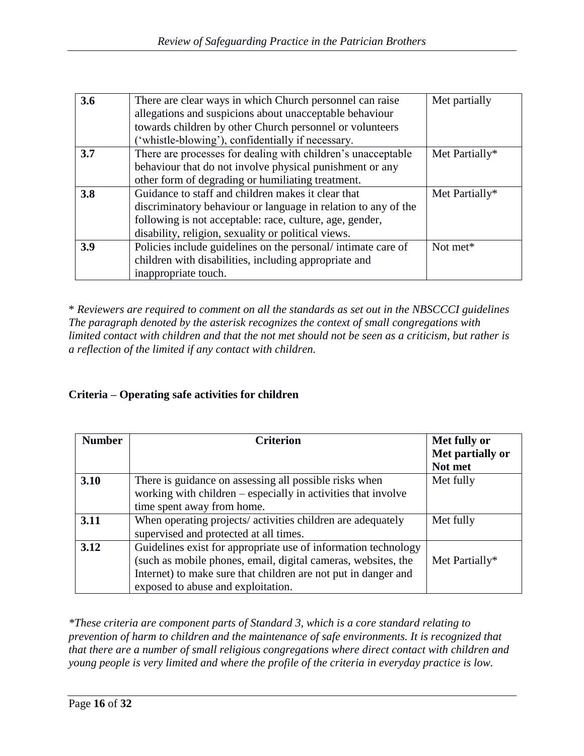| 3.6 | There are clear ways in which Church personnel can raise       | Met partially  |
|-----|----------------------------------------------------------------|----------------|
|     | allegations and suspicions about unacceptable behaviour        |                |
|     | towards children by other Church personnel or volunteers       |                |
|     | "whistle-blowing", confidentially if necessary.                |                |
| 3.7 | There are processes for dealing with children's unacceptable   | Met Partially* |
|     | behaviour that do not involve physical punishment or any       |                |
|     | other form of degrading or humiliating treatment.              |                |
| 3.8 | Guidance to staff and children makes it clear that             | Met Partially* |
|     | discriminatory behaviour or language in relation to any of the |                |
|     | following is not acceptable: race, culture, age, gender,       |                |
|     | disability, religion, sexuality or political views.            |                |
| 3.9 | Policies include guidelines on the personal/intimate care of   | Not met*       |
|     | children with disabilities, including appropriate and          |                |
|     | inappropriate touch.                                           |                |

\* *Reviewers are required to comment on all the standards as set out in the NBSCCCI guidelines The paragraph denoted by the asterisk recognizes the context of small congregations with limited contact with children and that the not met should not be seen as a criticism, but rather is a reflection of the limited if any contact with children.*

#### **Criteria – Operating safe activities for children**

| <b>Number</b> | <b>Criterion</b>                                               | Met fully or     |
|---------------|----------------------------------------------------------------|------------------|
|               |                                                                | Met partially or |
|               |                                                                | Not met          |
| 3.10          | There is guidance on assessing all possible risks when         | Met fully        |
|               | working with children – especially in activities that involve  |                  |
|               | time spent away from home.                                     |                  |
| 3.11          | When operating projects/ activities children are adequately    | Met fully        |
|               | supervised and protected at all times.                         |                  |
| 3.12          | Guidelines exist for appropriate use of information technology |                  |
|               | (such as mobile phones, email, digital cameras, websites, the  | Met Partially*   |
|               | Internet) to make sure that children are not put in danger and |                  |
|               | exposed to abuse and exploitation.                             |                  |

*\*These criteria are component parts of Standard 3, which is a core standard relating to prevention of harm to children and the maintenance of safe environments. It is recognized that that there are a number of small religious congregations where direct contact with children and young people is very limited and where the profile of the criteria in everyday practice is low.*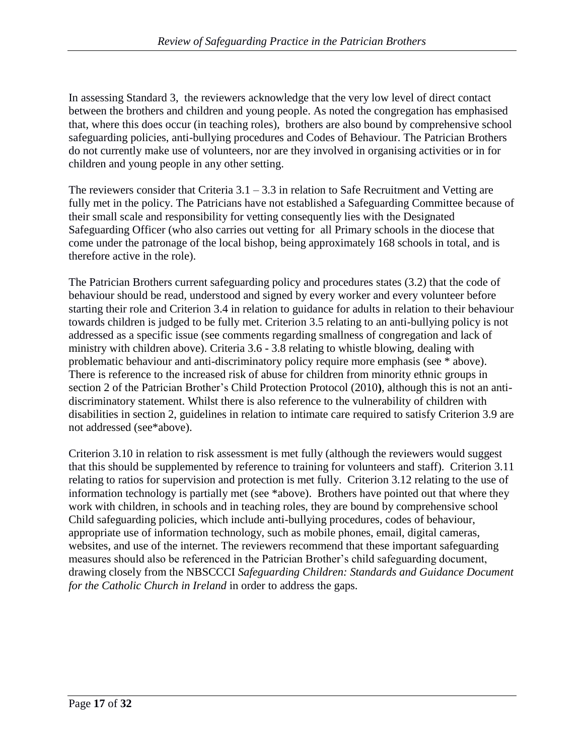In assessing Standard 3, the reviewers acknowledge that the very low level of direct contact between the brothers and children and young people. As noted the congregation has emphasised that, where this does occur (in teaching roles), brothers are also bound by comprehensive school safeguarding policies, anti-bullying procedures and Codes of Behaviour. The Patrician Brothers do not currently make use of volunteers, nor are they involved in organising activities or in for children and young people in any other setting.

The reviewers consider that Criteria 3.1 – 3.3 in relation to Safe Recruitment and Vetting are fully met in the policy. The Patricians have not established a Safeguarding Committee because of their small scale and responsibility for vetting consequently lies with the Designated Safeguarding Officer (who also carries out vetting for all Primary schools in the diocese that come under the patronage of the local bishop, being approximately 168 schools in total, and is therefore active in the role).

The Patrician Brothers current safeguarding policy and procedures states (3.2) that the code of behaviour should be read, understood and signed by every worker and every volunteer before starting their role and Criterion 3.4 in relation to guidance for adults in relation to their behaviour towards children is judged to be fully met. Criterion 3.5 relating to an anti-bullying policy is not addressed as a specific issue (see comments regarding smallness of congregation and lack of ministry with children above). Criteria 3.6 - 3.8 relating to whistle blowing, dealing with problematic behaviour and anti-discriminatory policy require more emphasis (see \* above). There is reference to the increased risk of abuse for children from minority ethnic groups in section 2 of the Patrician Brother's Child Protection Protocol (2010**)**, although this is not an antidiscriminatory statement. Whilst there is also reference to the vulnerability of children with disabilities in section 2, guidelines in relation to intimate care required to satisfy Criterion 3.9 are not addressed (see\*above).

Criterion 3.10 in relation to risk assessment is met fully (although the reviewers would suggest that this should be supplemented by reference to training for volunteers and staff). Criterion 3.11 relating to ratios for supervision and protection is met fully. Criterion 3.12 relating to the use of information technology is partially met (see \*above). Brothers have pointed out that where they work with children, in schools and in teaching roles, they are bound by comprehensive school Child safeguarding policies, which include anti-bullying procedures, codes of behaviour, appropriate use of information technology, such as mobile phones, email, digital cameras, websites, and use of the internet. The reviewers recommend that these important safeguarding measures should also be referenced in the Patrician Brother's child safeguarding document, drawing closely from the NBSCCCI *Safeguarding Children: Standards and Guidance Document for the Catholic Church in Ireland* in order to address the gaps.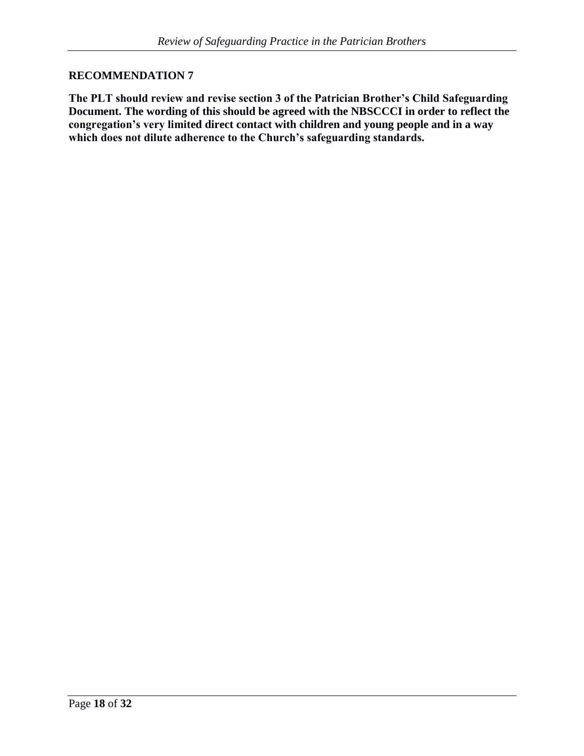#### **RECOMMENDATION 7**

**The PLT should review and revise section 3 of the Patrician Brother's Child Safeguarding Document. The wording of this should be agreed with the NBSCCCI in order to reflect the congregation's very limited direct contact with children and young people and in a way which does not dilute adherence to the Church's safeguarding standards.**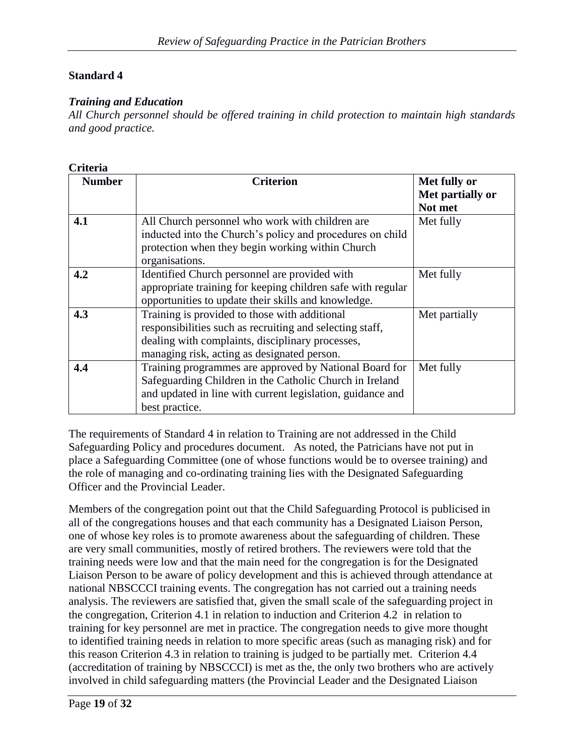#### *Training and Education*

*All Church personnel should be offered training in child protection to maintain high standards and good practice.*

| <b>Criteria</b> |                                                                                                                                                                                                              |                             |
|-----------------|--------------------------------------------------------------------------------------------------------------------------------------------------------------------------------------------------------------|-----------------------------|
| <b>Number</b>   | <b>Criterion</b>                                                                                                                                                                                             | Met fully or                |
|                 |                                                                                                                                                                                                              | Met partially or<br>Not met |
| 4.1             | All Church personnel who work with children are<br>inducted into the Church's policy and procedures on child<br>protection when they begin working within Church<br>organisations.                           | Met fully                   |
| 4.2             | Identified Church personnel are provided with<br>appropriate training for keeping children safe with regular<br>opportunities to update their skills and knowledge.                                          | Met fully                   |
| 4.3             | Training is provided to those with additional<br>responsibilities such as recruiting and selecting staff,<br>dealing with complaints, disciplinary processes,<br>managing risk, acting as designated person. | Met partially               |
| 4.4             | Training programmes are approved by National Board for<br>Safeguarding Children in the Catholic Church in Ireland<br>and updated in line with current legislation, guidance and<br>best practice.            | Met fully                   |

The requirements of Standard 4 in relation to Training are not addressed in the Child Safeguarding Policy and procedures document. As noted, the Patricians have not put in place a Safeguarding Committee (one of whose functions would be to oversee training) and the role of managing and co-ordinating training lies with the Designated Safeguarding Officer and the Provincial Leader.

Members of the congregation point out that the Child Safeguarding Protocol is publicised in all of the congregations houses and that each community has a Designated Liaison Person, one of whose key roles is to promote awareness about the safeguarding of children. These are very small communities, mostly of retired brothers. The reviewers were told that the training needs were low and that the main need for the congregation is for the Designated Liaison Person to be aware of policy development and this is achieved through attendance at national NBSCCCI training events. The congregation has not carried out a training needs analysis. The reviewers are satisfied that, given the small scale of the safeguarding project in the congregation, Criterion 4.1 in relation to induction and Criterion 4.2 in relation to training for key personnel are met in practice. The congregation needs to give more thought to identified training needs in relation to more specific areas (such as managing risk) and for this reason Criterion 4.3 in relation to training is judged to be partially met. Criterion 4.4 (accreditation of training by NBSCCCI) is met as the, the only two brothers who are actively involved in child safeguarding matters (the Provincial Leader and the Designated Liaison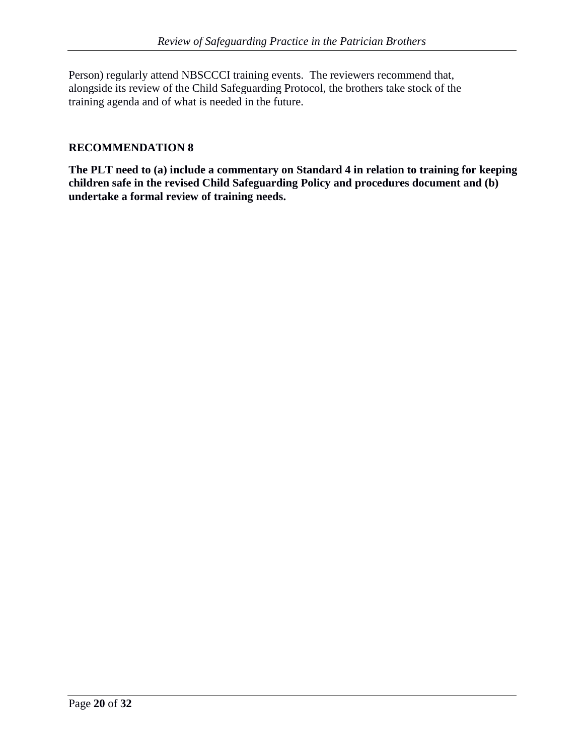Person) regularly attend NBSCCCI training events. The reviewers recommend that, alongside its review of the Child Safeguarding Protocol, the brothers take stock of the training agenda and of what is needed in the future.

### **RECOMMENDATION 8**

**The PLT need to (a) include a commentary on Standard 4 in relation to training for keeping children safe in the revised Child Safeguarding Policy and procedures document and (b) undertake a formal review of training needs.**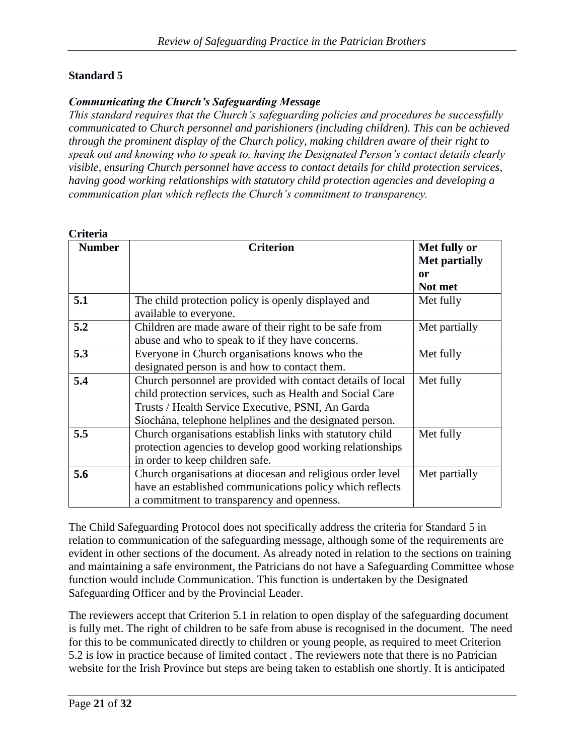#### *Communicating the Church's Safeguarding Message*

*This standard requires that the Church's safeguarding policies and procedures be successfully communicated to Church personnel and parishioners (including children). This can be achieved through the prominent display of the Church policy, making children aware of their right to speak out and knowing who to speak to, having the Designated Person's contact details clearly visible, ensuring Church personnel have access to contact details for child protection services, having good working relationships with statutory child protection agencies and developing a communication plan which reflects the Church's commitment to transparency.*

| <b>Number</b> | <b>Criterion</b>                                                                                                                                                                                                                          | Met fully or<br><b>Met partially</b><br>or<br>Not met |
|---------------|-------------------------------------------------------------------------------------------------------------------------------------------------------------------------------------------------------------------------------------------|-------------------------------------------------------|
| 5.1           | The child protection policy is openly displayed and<br>available to everyone.                                                                                                                                                             | Met fully                                             |
| 5.2           | Children are made aware of their right to be safe from<br>abuse and who to speak to if they have concerns.                                                                                                                                | Met partially                                         |
| 5.3           | Everyone in Church organisations knows who the<br>designated person is and how to contact them.                                                                                                                                           | Met fully                                             |
| 5.4           | Church personnel are provided with contact details of local<br>child protection services, such as Health and Social Care<br>Trusts / Health Service Executive, PSNI, An Garda<br>Síochána, telephone helplines and the designated person. | Met fully                                             |
| 5.5           | Church organisations establish links with statutory child<br>protection agencies to develop good working relationships<br>in order to keep children safe.                                                                                 | Met fully                                             |
| 5.6           | Church organisations at diocesan and religious order level<br>have an established communications policy which reflects<br>a commitment to transparency and openness.                                                                      | Met partially                                         |

The Child Safeguarding Protocol does not specifically address the criteria for Standard 5 in relation to communication of the safeguarding message, although some of the requirements are evident in other sections of the document. As already noted in relation to the sections on training and maintaining a safe environment, the Patricians do not have a Safeguarding Committee whose function would include Communication. This function is undertaken by the Designated Safeguarding Officer and by the Provincial Leader.

The reviewers accept that Criterion 5.1 in relation to open display of the safeguarding document is fully met. The right of children to be safe from abuse is recognised in the document. The need for this to be communicated directly to children or young people, as required to meet Criterion 5.2 is low in practice because of limited contact . The reviewers note that there is no Patrician website for the Irish Province but steps are being taken to establish one shortly. It is anticipated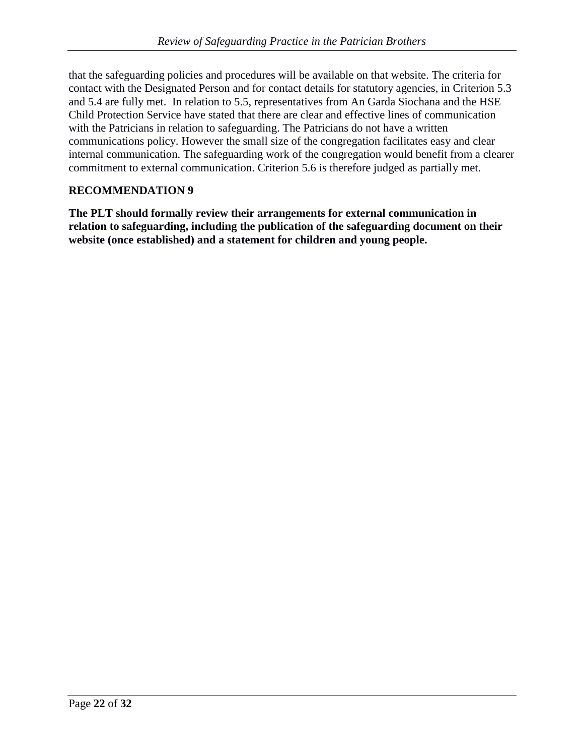that the safeguarding policies and procedures will be available on that website. The criteria for contact with the Designated Person and for contact details for statutory agencies, in Criterion 5.3 and 5.4 are fully met. In relation to 5.5, representatives from An Garda Siochana and the HSE Child Protection Service have stated that there are clear and effective lines of communication with the Patricians in relation to safeguarding. The Patricians do not have a written communications policy. However the small size of the congregation facilitates easy and clear internal communication. The safeguarding work of the congregation would benefit from a clearer commitment to external communication. Criterion 5.6 is therefore judged as partially met.

#### **RECOMMENDATION 9**

**The PLT should formally review their arrangements for external communication in relation to safeguarding, including the publication of the safeguarding document on their website (once established) and a statement for children and young people.**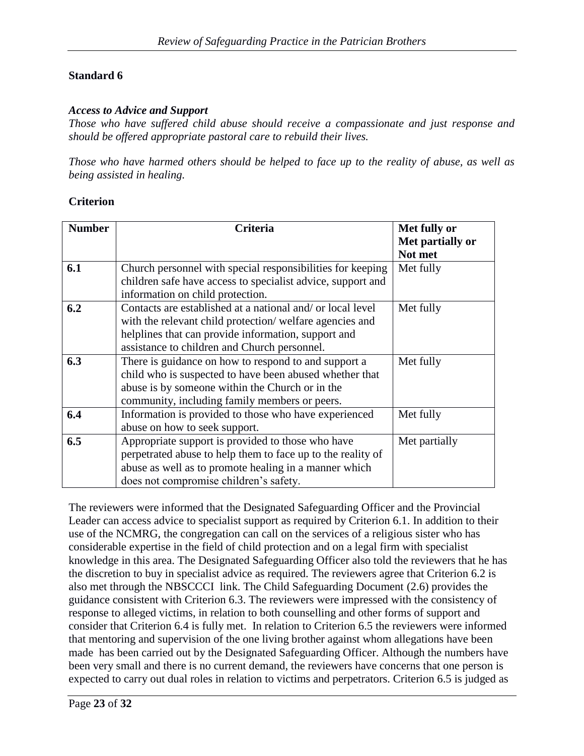#### *Access to Advice and Support*

*Those who have suffered child abuse should receive a compassionate and just response and should be offered appropriate pastoral care to rebuild their lives.*

*Those who have harmed others should be helped to face up to the reality of abuse, as well as being assisted in healing.*

#### **Criterion**

| <b>Number</b> | <b>Criteria</b>                                             | Met fully or     |
|---------------|-------------------------------------------------------------|------------------|
|               |                                                             | Met partially or |
|               |                                                             | Not met          |
| 6.1           | Church personnel with special responsibilities for keeping  | Met fully        |
|               | children safe have access to specialist advice, support and |                  |
|               | information on child protection.                            |                  |
| 6.2           | Contacts are established at a national and/ or local level  | Met fully        |
|               | with the relevant child protection/welfare agencies and     |                  |
|               | helplines that can provide information, support and         |                  |
|               | assistance to children and Church personnel.                |                  |
| 6.3           | There is guidance on how to respond to and support a        | Met fully        |
|               | child who is suspected to have been abused whether that     |                  |
|               | abuse is by someone within the Church or in the             |                  |
|               | community, including family members or peers.               |                  |
| 6.4           | Information is provided to those who have experienced       | Met fully        |
|               | abuse on how to seek support.                               |                  |
| 6.5           | Appropriate support is provided to those who have           | Met partially    |
|               | perpetrated abuse to help them to face up to the reality of |                  |
|               | abuse as well as to promote healing in a manner which       |                  |
|               | does not compromise children's safety.                      |                  |

The reviewers were informed that the Designated Safeguarding Officer and the Provincial Leader can access advice to specialist support as required by Criterion 6.1. In addition to their use of the NCMRG, the congregation can call on the services of a religious sister who has considerable expertise in the field of child protection and on a legal firm with specialist knowledge in this area. The Designated Safeguarding Officer also told the reviewers that he has the discretion to buy in specialist advice as required. The reviewers agree that Criterion 6.2 is also met through the NBSCCCI link. The Child Safeguarding Document (2.6) provides the guidance consistent with Criterion 6.3. The reviewers were impressed with the consistency of response to alleged victims, in relation to both counselling and other forms of support and consider that Criterion 6.4 is fully met. In relation to Criterion 6.5 the reviewers were informed that mentoring and supervision of the one living brother against whom allegations have been made has been carried out by the Designated Safeguarding Officer. Although the numbers have been very small and there is no current demand, the reviewers have concerns that one person is expected to carry out dual roles in relation to victims and perpetrators. Criterion 6.5 is judged as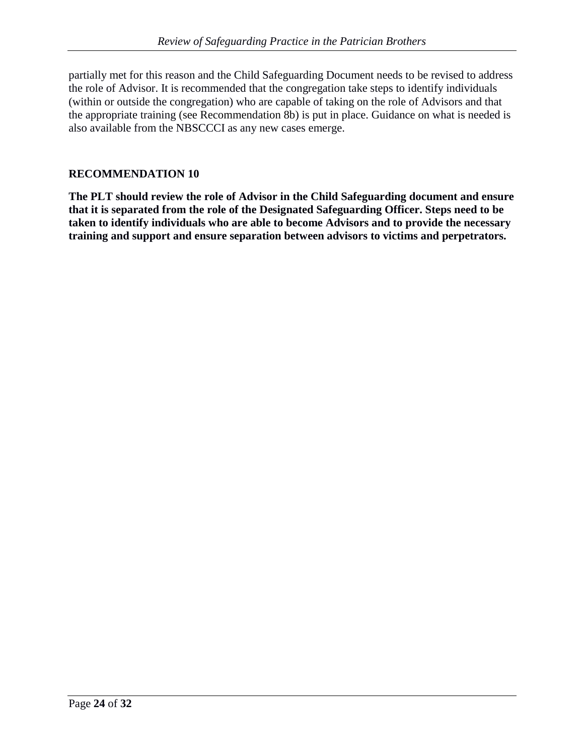partially met for this reason and the Child Safeguarding Document needs to be revised to address the role of Advisor. It is recommended that the congregation take steps to identify individuals (within or outside the congregation) who are capable of taking on the role of Advisors and that the appropriate training (see Recommendation 8b) is put in place. Guidance on what is needed is also available from the NBSCCCI as any new cases emerge.

### **RECOMMENDATION 10**

**The PLT should review the role of Advisor in the Child Safeguarding document and ensure that it is separated from the role of the Designated Safeguarding Officer. Steps need to be taken to identify individuals who are able to become Advisors and to provide the necessary training and support and ensure separation between advisors to victims and perpetrators.**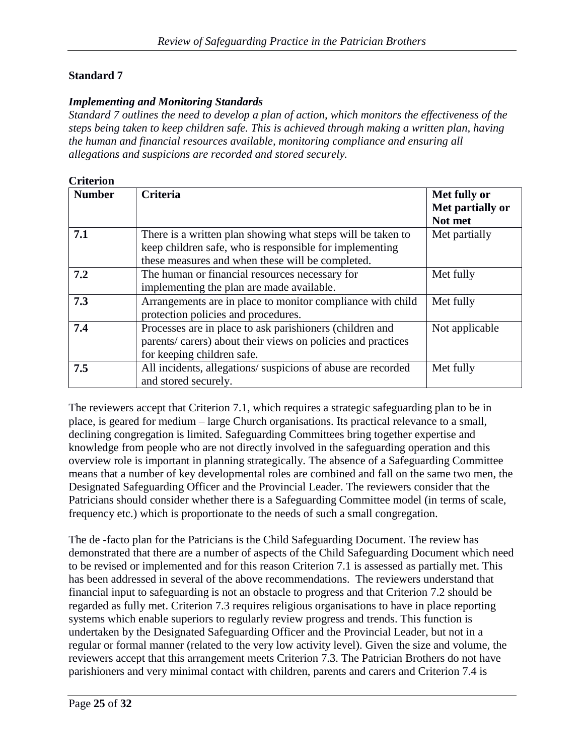#### *Implementing and Monitoring Standards*

*Standard 7 outlines the need to develop a plan of action, which monitors the effectiveness of the steps being taken to keep children safe. This is achieved through making a written plan, having the human and financial resources available, monitoring compliance and ensuring all allegations and suspicions are recorded and stored securely.*

| <b>Criterion</b> |                                                                                                                                                                            |                                             |
|------------------|----------------------------------------------------------------------------------------------------------------------------------------------------------------------------|---------------------------------------------|
| <b>Number</b>    | <b>Criteria</b>                                                                                                                                                            | Met fully or<br>Met partially or<br>Not met |
| 7.1              | There is a written plan showing what steps will be taken to<br>keep children safe, who is responsible for implementing<br>these measures and when these will be completed. | Met partially                               |
| 7.2              | The human or financial resources necessary for<br>implementing the plan are made available.                                                                                | Met fully                                   |
| 7.3              | Arrangements are in place to monitor compliance with child<br>protection policies and procedures.                                                                          | Met fully                                   |
| 7.4              | Processes are in place to ask parishioners (children and<br>parents/ carers) about their views on policies and practices<br>for keeping children safe.                     | Not applicable                              |
| 7.5              | All incidents, allegations/suspicions of abuse are recorded<br>and stored securely.                                                                                        | Met fully                                   |

The reviewers accept that Criterion 7.1, which requires a strategic safeguarding plan to be in place, is geared for medium – large Church organisations. Its practical relevance to a small, declining congregation is limited. Safeguarding Committees bring together expertise and knowledge from people who are not directly involved in the safeguarding operation and this overview role is important in planning strategically. The absence of a Safeguarding Committee means that a number of key developmental roles are combined and fall on the same two men, the Designated Safeguarding Officer and the Provincial Leader. The reviewers consider that the Patricians should consider whether there is a Safeguarding Committee model (in terms of scale, frequency etc.) which is proportionate to the needs of such a small congregation.

The de -facto plan for the Patricians is the Child Safeguarding Document. The review has demonstrated that there are a number of aspects of the Child Safeguarding Document which need to be revised or implemented and for this reason Criterion 7.1 is assessed as partially met. This has been addressed in several of the above recommendations. The reviewers understand that financial input to safeguarding is not an obstacle to progress and that Criterion 7.2 should be regarded as fully met. Criterion 7.3 requires religious organisations to have in place reporting systems which enable superiors to regularly review progress and trends. This function is undertaken by the Designated Safeguarding Officer and the Provincial Leader, but not in a regular or formal manner (related to the very low activity level). Given the size and volume, the reviewers accept that this arrangement meets Criterion 7.3. The Patrician Brothers do not have parishioners and very minimal contact with children, parents and carers and Criterion 7.4 is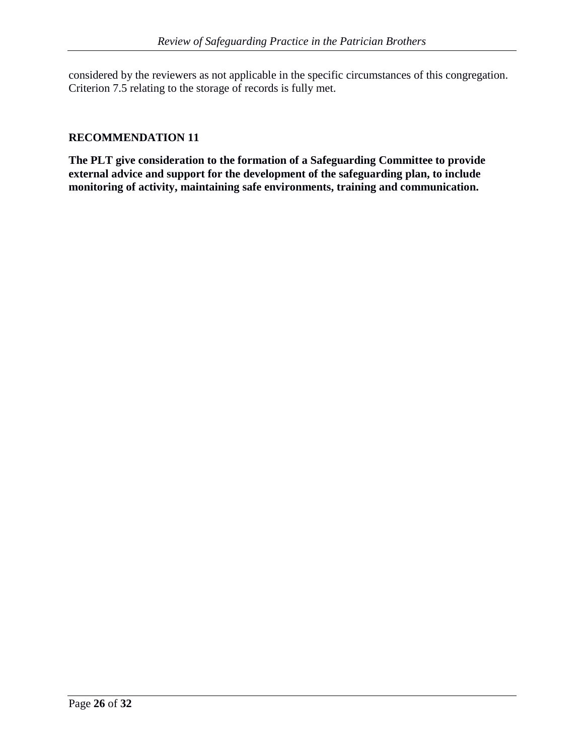considered by the reviewers as not applicable in the specific circumstances of this congregation. Criterion 7.5 relating to the storage of records is fully met.

#### **RECOMMENDATION 11**

**The PLT give consideration to the formation of a Safeguarding Committee to provide external advice and support for the development of the safeguarding plan, to include monitoring of activity, maintaining safe environments, training and communication.**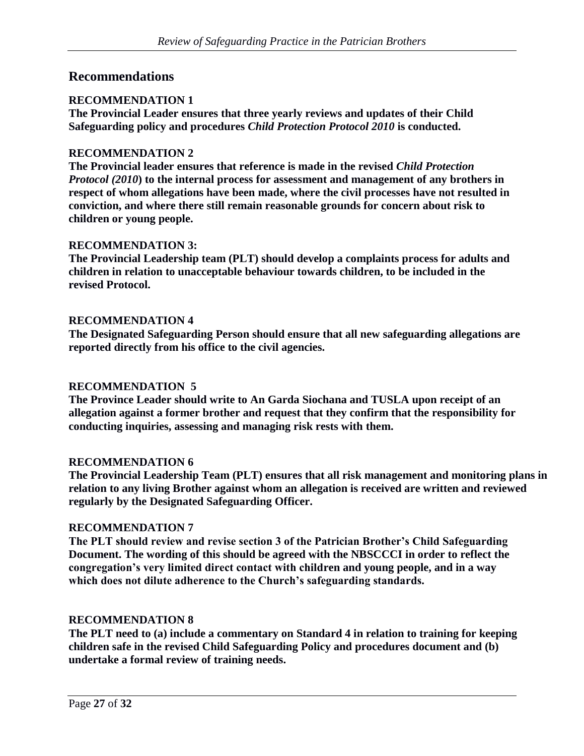### **Recommendations**

#### **RECOMMENDATION 1**

**The Provincial Leader ensures that three yearly reviews and updates of their Child Safeguarding policy and procedures** *Child Protection Protocol 2010* **is conducted.**

#### **RECOMMENDATION 2**

**The Provincial leader ensures that reference is made in the revised** *Child Protection Protocol (2010***) to the internal process for assessment and management of any brothers in respect of whom allegations have been made, where the civil processes have not resulted in conviction, and where there still remain reasonable grounds for concern about risk to children or young people.**

#### **RECOMMENDATION 3:**

**The Provincial Leadership team (PLT) should develop a complaints process for adults and children in relation to unacceptable behaviour towards children, to be included in the revised Protocol.**

#### **RECOMMENDATION 4**

**The Designated Safeguarding Person should ensure that all new safeguarding allegations are reported directly from his office to the civil agencies.**

#### **RECOMMENDATION 5**

**The Province Leader should write to An Garda Siochana and TUSLA upon receipt of an allegation against a former brother and request that they confirm that the responsibility for conducting inquiries, assessing and managing risk rests with them.**

#### **RECOMMENDATION 6**

**The Provincial Leadership Team (PLT) ensures that all risk management and monitoring plans in relation to any living Brother against whom an allegation is received are written and reviewed regularly by the Designated Safeguarding Officer.** 

#### **RECOMMENDATION 7**

**The PLT should review and revise section 3 of the Patrician Brother's Child Safeguarding Document. The wording of this should be agreed with the NBSCCCI in order to reflect the congregation's very limited direct contact with children and young people, and in a way which does not dilute adherence to the Church's safeguarding standards.**

#### **RECOMMENDATION 8**

**The PLT need to (a) include a commentary on Standard 4 in relation to training for keeping children safe in the revised Child Safeguarding Policy and procedures document and (b) undertake a formal review of training needs.**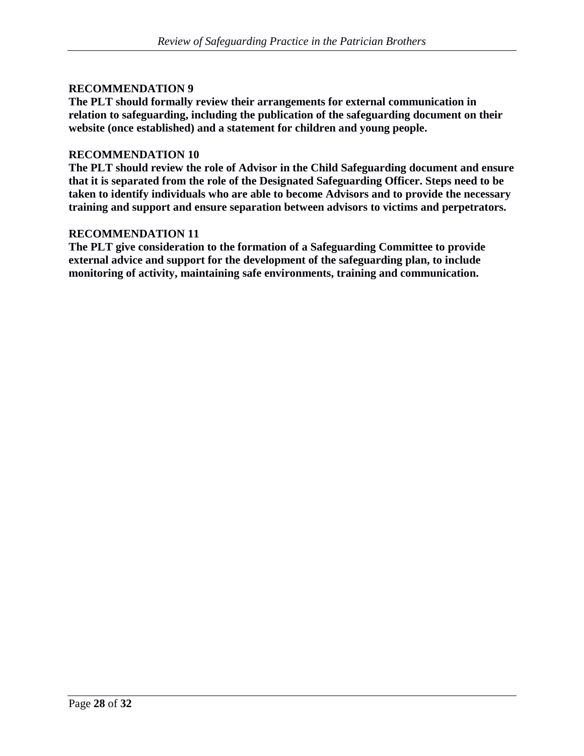#### **RECOMMENDATION 9**

**The PLT should formally review their arrangements for external communication in relation to safeguarding, including the publication of the safeguarding document on their website (once established) and a statement for children and young people.**

#### **RECOMMENDATION 10**

**The PLT should review the role of Advisor in the Child Safeguarding document and ensure that it is separated from the role of the Designated Safeguarding Officer. Steps need to be taken to identify individuals who are able to become Advisors and to provide the necessary training and support and ensure separation between advisors to victims and perpetrators.**

#### **RECOMMENDATION 11**

**The PLT give consideration to the formation of a Safeguarding Committee to provide external advice and support for the development of the safeguarding plan, to include monitoring of activity, maintaining safe environments, training and communication.**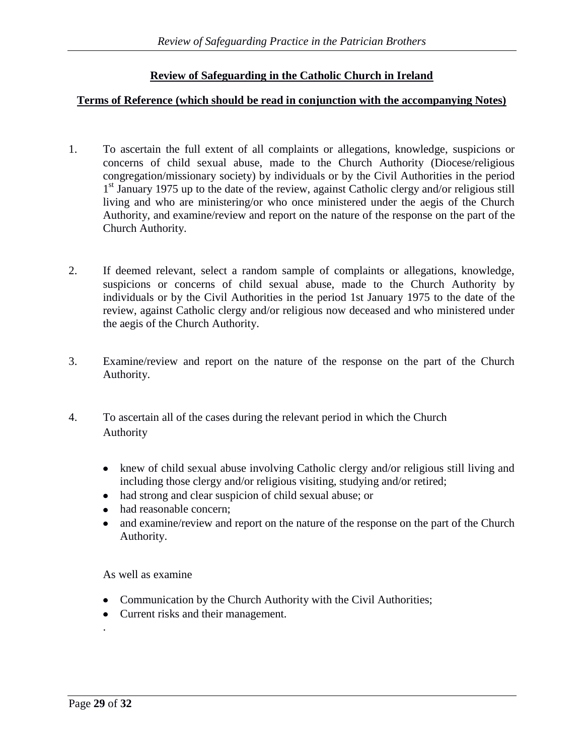### **Review of Safeguarding in the Catholic Church in Ireland**

#### **Terms of Reference (which should be read in conjunction with the accompanying Notes)**

- 1. To ascertain the full extent of all complaints or allegations, knowledge, suspicions or concerns of child sexual abuse, made to the Church Authority (Diocese/religious congregation/missionary society) by individuals or by the Civil Authorities in the period 1<sup>st</sup> January 1975 up to the date of the review, against Catholic clergy and/or religious still living and who are ministering/or who once ministered under the aegis of the Church Authority, and examine/review and report on the nature of the response on the part of the Church Authority.
- 2. If deemed relevant, select a random sample of complaints or allegations, knowledge, suspicions or concerns of child sexual abuse, made to the Church Authority by individuals or by the Civil Authorities in the period 1st January 1975 to the date of the review, against Catholic clergy and/or religious now deceased and who ministered under the aegis of the Church Authority.
- 3. Examine/review and report on the nature of the response on the part of the Church Authority.
- 4. To ascertain all of the cases during the relevant period in which the Church Authority
	- knew of child sexual abuse involving Catholic clergy and/or religious still living and including those clergy and/or religious visiting, studying and/or retired;
	- had strong and clear suspicion of child sexual abuse; or
	- had reasonable concern;
	- and examine/review and report on the nature of the response on the part of the Church Authority.

As well as examine

- Communication by the Church Authority with the Civil Authorities;
- Current risks and their management.

.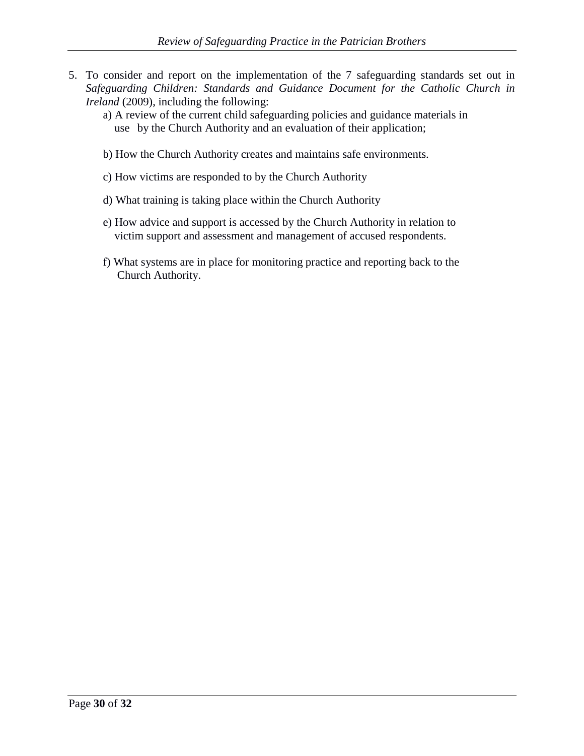- 5. To consider and report on the implementation of the 7 safeguarding standards set out in *Safeguarding Children: Standards and Guidance Document for the Catholic Church in Ireland* (2009), including the following:
	- a) A review of the current child safeguarding policies and guidance materials in use by the Church Authority and an evaluation of their application;
	- b) How the Church Authority creates and maintains safe environments.
	- c) How victims are responded to by the Church Authority
	- d) What training is taking place within the Church Authority
	- e) How advice and support is accessed by the Church Authority in relation to victim support and assessment and management of accused respondents.
	- f) What systems are in place for monitoring practice and reporting back to the Church Authority.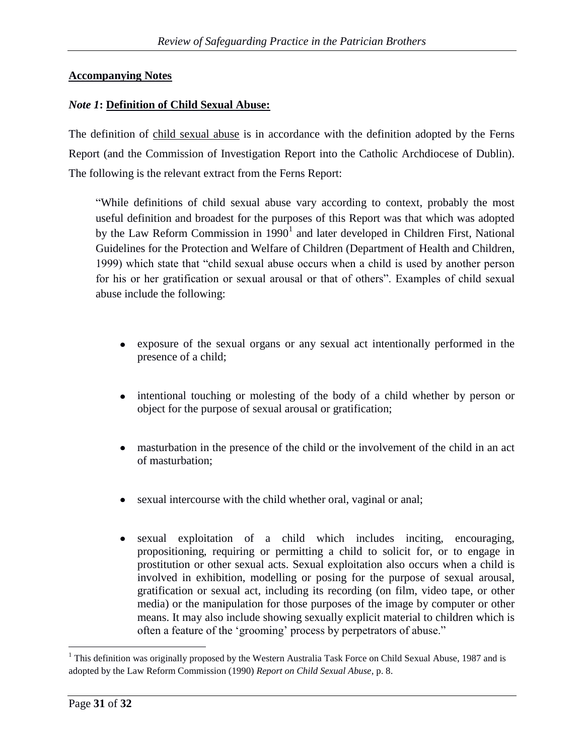### **Accompanying Notes**

### *Note 1***: Definition of Child Sexual Abuse:**

The definition of child sexual abuse is in accordance with the definition adopted by the Ferns Report (and the Commission of Investigation Report into the Catholic Archdiocese of Dublin). The following is the relevant extract from the Ferns Report:

"While definitions of child sexual abuse vary according to context, probably the most useful definition and broadest for the purposes of this Report was that which was adopted by the Law Reform Commission in  $1990<sup>1</sup>$  and later developed in Children First, National Guidelines for the Protection and Welfare of Children (Department of Health and Children, 1999) which state that "child sexual abuse occurs when a child is used by another person for his or her gratification or sexual arousal or that of others". Examples of child sexual abuse include the following:

- exposure of the sexual organs or any sexual act intentionally performed in the  $\bullet$ presence of a child;
- intentional touching or molesting of the body of a child whether by person or  $\bullet$ object for the purpose of sexual arousal or gratification;
- masturbation in the presence of the child or the involvement of the child in an act of masturbation;
- sexual intercourse with the child whether oral, vaginal or anal;
- sexual exploitation of a child which includes inciting, encouraging,  $\bullet$ propositioning, requiring or permitting a child to solicit for, or to engage in prostitution or other sexual acts. Sexual exploitation also occurs when a child is involved in exhibition, modelling or posing for the purpose of sexual arousal, gratification or sexual act, including its recording (on film, video tape, or other media) or the manipulation for those purposes of the image by computer or other means. It may also include showing sexually explicit material to children which is often a feature of the 'grooming' process by perpetrators of abuse."

 $\overline{a}$ 

<sup>&</sup>lt;sup>1</sup> This definition was originally proposed by the Western Australia Task Force on Child Sexual Abuse, 1987 and is adopted by the Law Reform Commission (1990) *Report on Child Sexual Abuse*, p. 8.